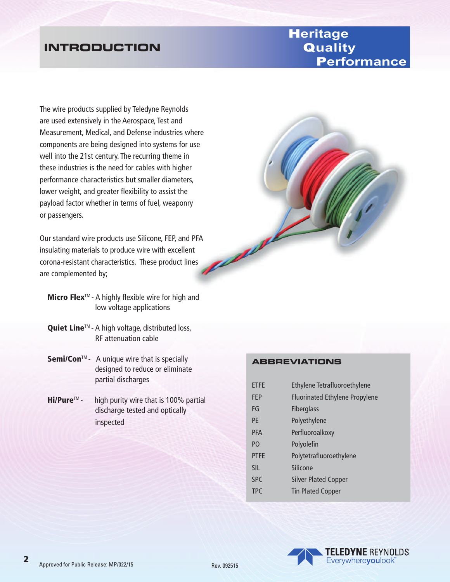# **INTRODUCTION**

# H**eritage** Q**uality** P**erformance**

The wire products supplied by Teledyne Reynolds are used extensively in the Aerospace, Test and Measurement, Medical, and Defense industries where components are being designed into systems for use well into the 21st century. The recurring theme in these industries is the need for cables with higher performance characteristics but smaller diameters, lower weight, and greater flexibility to assist the payload factor whether in terms of fuel, weaponry or passengers.

Our standard wire products use Silicone, FEP, and PFA<br>insulating materials to produce wire with excellent<br>corona-resistant characteristics. These produce insulating materials to produce wire with excellent corona-resistant characteristics. These product lines are complemented by;

- **Micro Flex**<sup>M</sup> A highly flexible wire for high and low voltage applications
- Quiet Line<sup>™</sup> A high voltage, distributed loss, RF attenuation cable
- Semi/Con<sup>™</sup>- A unique wire that is specially designed to reduce or eliminate partial discharges
- $\mathsf{Hi/Pure^{TM}}$  high purity wire that is 100% partial discharge tested and optically inspected

# **ABBREVIATIONS**

| <b>ETFE</b>    | <b>Ethylene Tetrafluoroethylene</b>   |
|----------------|---------------------------------------|
| <b>FEP</b>     | <b>Fluorinated Ethylene Propylene</b> |
| FG             | <b>Fiberglass</b>                     |
| <b>PF</b>      | Polyethylene                          |
| <b>PFA</b>     | Perfluoroalkoxy                       |
| P <sub>O</sub> | Polyolefin                            |
| <b>PTFF</b>    | Polytetrafluoroethylene               |
| <b>SIL</b>     | Silicone                              |
| <b>SPC</b>     | <b>Silver Plated Copper</b>           |
| <b>TPC</b>     | <b>Tin Plated Copper</b>              |

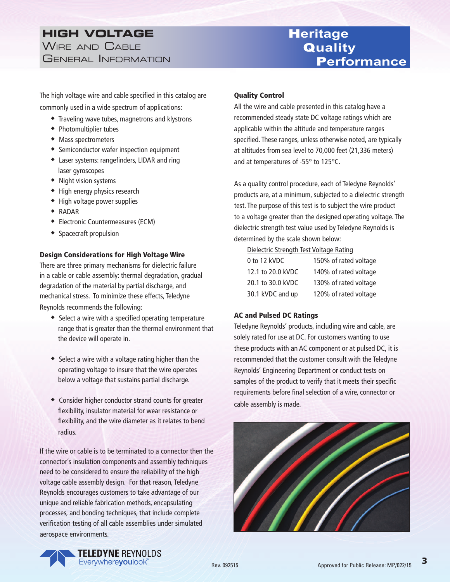## **HIGH VOLTAGE** WIRE AND CABLE GENERAL INFORMATION

The high voltage wire and cable specified in this catalog are commonly used in a wide spectrum of applications:

- $\bullet$  Traveling wave tubes, magnetrons and klystrons
- $\bullet$  Photomultiplier tubes
- $\bullet$  Mass spectrometers
- ◆ Semiconductor wafer inspection equipment
- Laser systems: rangefinders, LIDAR and ring laser gyroscopes
- $\bullet$  Night vision systems
- $\bullet$  High energy physics research
- $\bullet$  High voltage power supplies
- $\triangleleft$  RADAR
- **Electronic Countermeasures (ECM)**
- $\bullet$  Spacecraft propulsion

#### Design Considerations for High Voltage Wire

There are three primary mechanisms for dielectric failure in a cable or cable assembly: thermal degradation, gradual degradation of the material by partial discharge, and mechanical stress. To minimize these effects, Teledyne Reynolds recommends the following:

- $\bullet$  Select a wire with a specified operating temperature range that is greater than the thermal environment that the device will operate in.
- $\bullet$  Select a wire with a voltage rating higher than the operating voltage to insure that the wire operates below a voltage that sustains partial discharge.
- Consider higher conductor strand counts for greater flexibility, insulator material for wear resistance or flexibility, and the wire diameter as it relates to bend radius.

If the wire or cable is to be terminated to a connector then the connector's insulation components and assembly techniques need to be considered to ensure the reliability of the high voltage cable assembly design. For that reason, Teledyne Reynolds encourages customers to take advantage of our unique and reliable fabrication methods, encapsulating processes, and bonding techniques, that include complete verification testing of all cable assemblies under simulated aerospace environments.

#### Quality Control

All the wire and cable presented in this catalog have a recommended steady state DC voltage ratings which are applicable within the altitude and temperature ranges specified. These ranges, unless otherwise noted, are typically at altitudes from sea level to 70,000 feet (21,336 meters) and at temperatures of -55° to 125°C.

H**eritage**

Q**uality**

P**erformance**

As a quality control procedure, each of Teledyne Reynolds' products are, at a minimum, subjected to a dielectric strength test. The purpose of this test is to subject the wire product to a voltage greater than the designed operating voltage. The dielectric strength test value used by Teledyne Reynolds is determined by the scale shown below:

#### Dielectric Strength Test Voltage Rating

| 0 to 12 kVDC      | 150% of rated voltage |
|-------------------|-----------------------|
| 12.1 to 20.0 kVDC | 140% of rated voltage |
| 20.1 to 30.0 kVDC | 130% of rated voltage |
| 30.1 kVDC and up  | 120% of rated voltage |

#### AC and Pulsed DC Ratings

Teledyne Reynolds' products, including wire and cable, are solely rated for use at DC. For customers wanting to use these products with an AC component or at pulsed DC, it is recommended that the customer consult with the Teledyne Reynolds' Engineering Department or conduct tests on samples of the product to verify that it meets their specific requirements before final selection of a wire, connector or cable assembly is made.



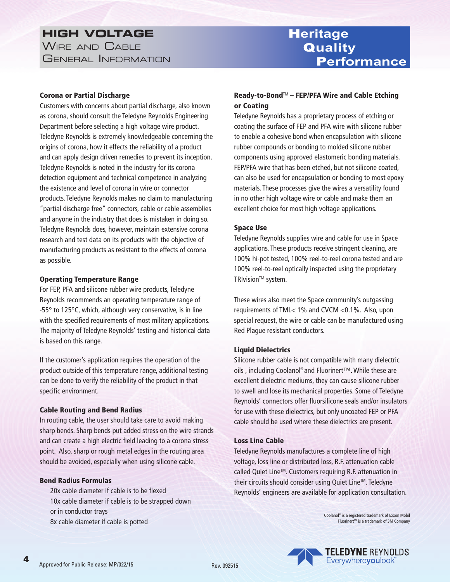## **HIGH VOLTAGE** WIRE AND CABLE GENERAL INFORMATION

H**eritage** Q**uality** P**erformance**

#### Corona or Partial Discharge

Customers with concerns about partial discharge, also known as corona, should consult the Teledyne Reynolds Engineering Department before selecting a high voltage wire product. Teledyne Reynolds is extremely knowledgeable concerning the origins of corona, how it effects the reliability of a product and can apply design driven remedies to prevent its inception. Teledyne Reynolds is noted in the industry for its corona detection equipment and technical competence in analyzing the existence and level of corona in wire or connector products. Teledyne Reynolds makes no claim to manufacturing "partial discharge free" connectors, cable or cable assemblies and anyone in the industry that does is mistaken in doing so. Teledyne Reynolds does, however, maintain extensive corona research and test data on its products with the objective of manufacturing products as resistant to the effects of corona as possible.

#### Operating Temperature Range

For FEP, PFA and silicone rubber wire products, Teledyne Reynolds recommends an operating temperature range of -55° to 125°C, which, although very conservative, is in line with the specified requirements of most military applications. The majority of Teledyne Reynolds' testing and historical data is based on this range.

If the customer's application requires the operation of the product outside of this temperature range, additional testing can be done to verify the reliability of the product in that specific environment.

#### Cable Routing and Bend Radius

In routing cable, the user should take care to avoid making sharp bends. Sharp bends put added stress on the wire strands and can create a high electric field leading to a corona stress point. Also, sharp or rough metal edges in the routing area should be avoided, especially when using silicone cable.

#### Bend Radius Formulas

20x cable diameter if cable is to be flexed 10x cable diameter if cable is to be strapped down or in conductor trays 8x cable diameter if cable is potted

#### Ready-to-Bond™ – FEP/PFA Wire and Cable Etching or Coating

Teledyne Reynolds has a proprietary process of etching or coating the surface of FEP and PFA wire with silicone rubber to enable a cohesive bond when encapsulation with silicone rubber compounds or bonding to molded silicone rubber components using approved elastomeric bonding materials. FEP/PFA wire that has been etched, but not silicone coated, can also be used for encapsulation or bonding to most epoxy materials. These processes give the wires a versatility found in no other high voltage wire or cable and make them an excellent choice for most high voltage applications.

#### Space Use

Teledyne Reynolds supplies wire and cable for use in Space applications. These products receive stringent cleaning, are 100% hi-pot tested, 100% reel-to-reel corona tested and are 100% reel-to-reel optically inspected using the proprietary TRIvision<sup>™</sup> system.

These wires also meet the Space community's outgassing requirements of TML< 1% and CVCM <0.1%. Also, upon special request, the wire or cable can be manufactured using Red Plague resistant conductors.

#### Liquid Dielectrics

Silicone rubber cable is not compatible with many dielectric oils , including Coolanol® and Fluorinert™. While these are excellent dielectric mediums, they can cause silicone rubber to swell and lose its mechanical properties. Some of Teledyne Reynolds' connectors offer fluorsilicone seals and/or insulators for use with these dielectrics, but only uncoated FEP or PFA cable should be used where these dielectrics are present.

#### Loss Line Cable

Teledyne Reynolds manufactures a complete line of high voltage, loss line or distributed loss, R.F. attenuation cable called Quiet Line<sup>™</sup>. Customers requiring R.F. attenuation in their circuits should consider using Quiet Line™. Teledyne Reynolds' engineers are available for application consultation.

> Coolanol® is a registered trademark of Exxon Mobil Fluorinert<sup>™</sup> is a trademark of 3M Company



4